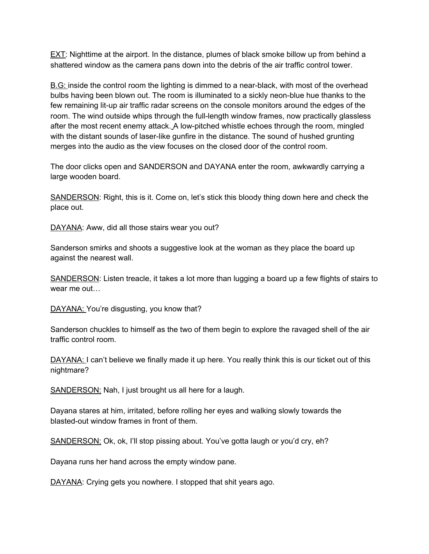EXT: Nighttime at the airport. In the distance, plumes of black smoke billow up from behind a shattered window as the camera pans down into the debris of the air traffic control tower.

B.G: inside the control room the lighting is dimmed to a near-black, with most of the overhead bulbs having been blown out. The room is illuminated to a sickly neon-blue hue thanks to the few remaining lit-up air traffic radar screens on the console monitors around the edges of the room. The wind outside whips through the full-length window frames, now practically glassless after the most recent enemy attack. A low-pitched whistle echoes through the room, mingled with the distant sounds of laser-like gunfire in the distance. The sound of hushed grunting merges into the audio as the view focuses on the closed door of the control room.

The door clicks open and SANDERSON and DAYANA enter the room, awkwardly carrying a large wooden board.

SANDERSON: Right, this is it. Come on, let's stick this bloody thing down here and check the place out.

DAYANA: Aww, did all those stairs wear you out?

Sanderson smirks and shoots a suggestive look at the woman as they place the board up against the nearest wall.

SANDERSON: Listen treacle, it takes a lot more than lugging a board up a few flights of stairs to wear me out…

DAYANA: You're disgusting, you know that?

Sanderson chuckles to himself as the two of them begin to explore the ravaged shell of the air traffic control room.

DAYANA: I can't believe we finally made it up here. You really think this is our ticket out of this nightmare?

SANDERSON: Nah, I just brought us all here for a laugh.

Dayana stares at him, irritated, before rolling her eyes and walking slowly towards the blasted-out window frames in front of them.

SANDERSON: Ok, ok, I'll stop pissing about. You've gotta laugh or you'd cry, eh?

Dayana runs her hand across the empty window pane.

DAYANA: Crying gets you nowhere. I stopped that shit years ago.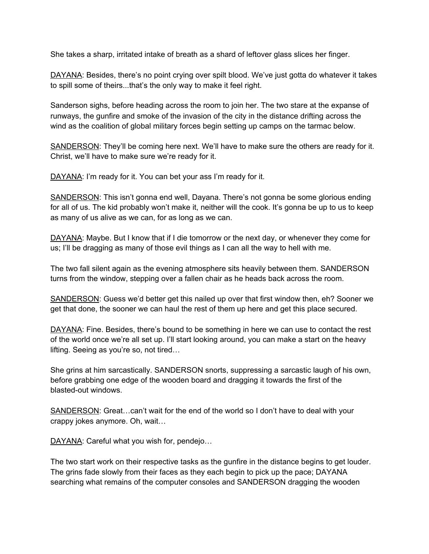She takes a sharp, irritated intake of breath as a shard of leftover glass slices her finger.

DAYANA: Besides, there's no point crying over spilt blood. We've just gotta do whatever it takes to spill some of theirs...that's the only way to make it feel right.

Sanderson sighs, before heading across the room to join her. The two stare at the expanse of runways, the gunfire and smoke of the invasion of the city in the distance drifting across the wind as the coalition of global military forces begin setting up camps on the tarmac below.

SANDERSON: They'll be coming here next. We'll have to make sure the others are ready for it. Christ, we'll have to make sure we're ready for it.

DAYANA: I'm ready for it. You can bet your ass I'm ready for it.

SANDERSON: This isn't gonna end well, Dayana. There's not gonna be some glorious ending for all of us. The kid probably won't make it, neither will the cook. It's gonna be up to us to keep as many of us alive as we can, for as long as we can.

DAYANA: Maybe. But I know that if I die tomorrow or the next day, or whenever they come for us; I'll be dragging as many of those evil things as I can all the way to hell with me.

The two fall silent again as the evening atmosphere sits heavily between them. SANDERSON turns from the window, stepping over a fallen chair as he heads back across the room.

SANDERSON: Guess we'd better get this nailed up over that first window then, eh? Sooner we get that done, the sooner we can haul the rest of them up here and get this place secured.

DAYANA: Fine. Besides, there's bound to be something in here we can use to contact the rest of the world once we're all set up. I'll start looking around, you can make a start on the heavy lifting. Seeing as you're so, not tired…

She grins at him sarcastically. SANDERSON snorts, suppressing a sarcastic laugh of his own, before grabbing one edge of the wooden board and dragging it towards the first of the blasted-out windows.

SANDERSON: Great…can't wait for the end of the world so I don't have to deal with your crappy jokes anymore. Oh, wait…

DAYANA: Careful what you wish for, pendejo...

The two start work on their respective tasks as the gunfire in the distance begins to get louder. The grins fade slowly from their faces as they each begin to pick up the pace; DAYANA searching what remains of the computer consoles and SANDERSON dragging the wooden